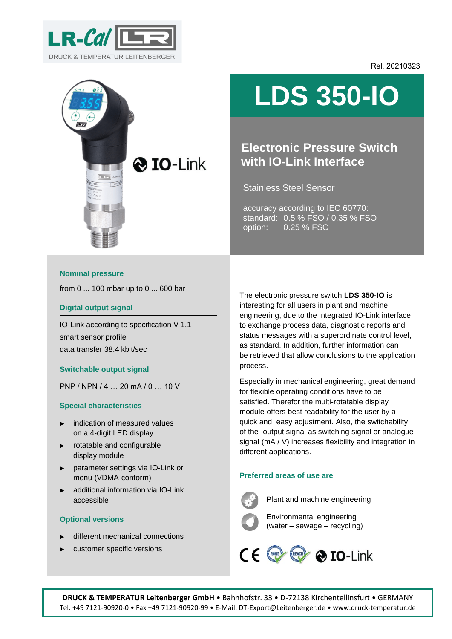

Rel. 20210323



# **LDS 350-IO**

# **Electronic Pressure Switch with IO-Link Interface**

Stainless Steel Sensor

accuracy according to IEC 60770: standard: 0.5 % FSO / 0.35 % FSO option: 0.25 % FSO

#### **Nominal pressure**

from 0 ... 100 mbar up to 0 ... 600 bar

#### **Digital output signal**

IO-Link according to specification V 1.1 smart sensor profile data transfer 38.4 kbit/sec

#### **Switchable output signal**

PNP / NPN / 4 … 20 mA / 0 … 10 V

#### **Special characteristics**

- indication of measured values on a 4-digit LED display
- ► rotatable and configurable display module
- parameter settings via IO-Link or menu (VDMA-conform)
- additional information via IO-Link accessible

#### **Optional versions**

- different mechanical connections
- customer specific versions

The electronic pressure switch **LDS 350-IO** is interesting for all users in plant and machine engineering, due to the integrated IO-Link interface to exchange process data, diagnostic reports and status messages with a superordinate control level, as standard. In addition, further information can be retrieved that allow conclusions to the application process.

Especially in mechanical engineering, great demand for flexible operating conditions have to be satisfied. Therefor the multi-rotatable display module offers best readability for the user by a quick and easy adjustment. Also, the switchability of the output signal as switching signal or analogue signal (mA / V) increases flexibility and integration in different applications.

#### **Preferred areas of use are**



Plant and machine engineering

Environmental engineering (water – sewage – recycling)

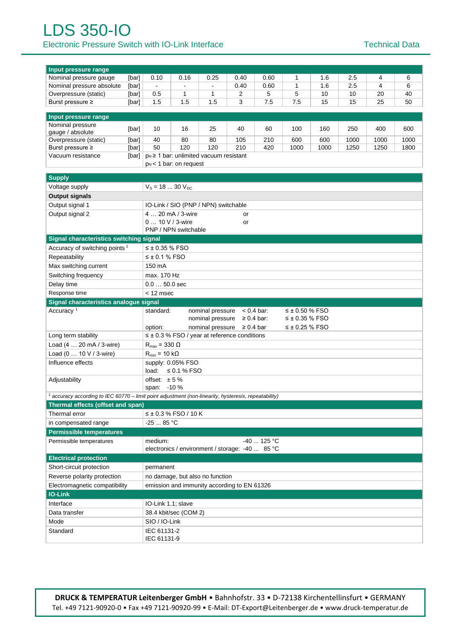## LDS 350-IO Electronic Pressure Switch with IO-Link Interface Technical Data

| Input pressure range                                                                                             |                      |                                                        |                                                                                                       |                  |                                                     |                 |                       |                |     |                |    |  |  |  |  |  |
|------------------------------------------------------------------------------------------------------------------|----------------------|--------------------------------------------------------|-------------------------------------------------------------------------------------------------------|------------------|-----------------------------------------------------|-----------------|-----------------------|----------------|-----|----------------|----|--|--|--|--|--|
| Nominal pressure gauge                                                                                           | [bar]                | 0.10                                                   | 0.16                                                                                                  | 0.25             | 0.40                                                | 0.60            | 1                     | 1.6            | 2.5 | 4              | 6  |  |  |  |  |  |
| Nominal pressure absolute                                                                                        | [bar]                | $\blacksquare$                                         | $\blacksquare$                                                                                        | $\blacksquare$   | 0.40                                                | 0.60            | $\mathbf{1}$          | 1.6            | 2.5 | $\overline{4}$ | 6  |  |  |  |  |  |
| Overpressure (static)                                                                                            | [bar]                | 0.5                                                    | 1                                                                                                     | 1                | 2                                                   | 5               | 5                     | 10             | 10  | 20             | 40 |  |  |  |  |  |
| Burst pressure ≥                                                                                                 | [bar]                | 1.5                                                    | 1.5                                                                                                   | 1.5              | 3                                                   | 7.5             | 7.5                   | 15<br>15<br>25 |     |                |    |  |  |  |  |  |
| 50                                                                                                               |                      |                                                        |                                                                                                       |                  |                                                     |                 |                       |                |     |                |    |  |  |  |  |  |
| Input pressure range                                                                                             |                      |                                                        |                                                                                                       |                  |                                                     |                 |                       |                |     |                |    |  |  |  |  |  |
| Nominal pressure                                                                                                 | [bar]                | 10<br>25<br>40<br>60<br>16<br>100<br>160<br>250<br>400 |                                                                                                       |                  |                                                     |                 |                       |                |     |                |    |  |  |  |  |  |
| gauge / absolute                                                                                                 |                      |                                                        |                                                                                                       |                  |                                                     |                 |                       |                |     |                |    |  |  |  |  |  |
| Overpressure (static)<br>Burst pressure ≥                                                                        | [bar]<br>[bar]       |                                                        | 80<br>105<br>600<br>600<br>1000<br>1000<br>1000<br>40<br>80<br>210<br>120<br>120<br>50<br>210<br>1000 |                  |                                                     |                 |                       |                |     |                |    |  |  |  |  |  |
| Vacuum resistance                                                                                                | [bar]                |                                                        | 420<br>1000<br>1250<br>1250<br>1800<br>p <sub>N</sub> ≥ 1 bar: unlimited vacuum resistant             |                  |                                                     |                 |                       |                |     |                |    |  |  |  |  |  |
|                                                                                                                  |                      | $p_N < 1$ bar: on request                              |                                                                                                       |                  |                                                     |                 |                       |                |     |                |    |  |  |  |  |  |
|                                                                                                                  |                      |                                                        |                                                                                                       |                  |                                                     |                 |                       |                |     |                |    |  |  |  |  |  |
| <b>Supply</b>                                                                                                    |                      |                                                        |                                                                                                       |                  |                                                     |                 |                       |                |     |                |    |  |  |  |  |  |
| Voltage supply                                                                                                   |                      | $V_s = 18  30 V_{DC}$                                  |                                                                                                       |                  |                                                     |                 |                       |                |     |                |    |  |  |  |  |  |
| <b>Output signals</b>                                                                                            |                      |                                                        |                                                                                                       |                  |                                                     |                 |                       |                |     |                |    |  |  |  |  |  |
| Output signal 1                                                                                                  |                      | IO-Link / SIO (PNP / NPN) switchable                   |                                                                                                       |                  |                                                     |                 |                       |                |     |                |    |  |  |  |  |  |
| Output signal 2                                                                                                  |                      |                                                        | 4  20 mA / 3-wire                                                                                     |                  | or                                                  |                 |                       |                |     |                |    |  |  |  |  |  |
|                                                                                                                  |                      | $010$ V / 3-wire                                       |                                                                                                       |                  | or                                                  |                 |                       |                |     |                |    |  |  |  |  |  |
|                                                                                                                  |                      |                                                        | PNP / NPN switchable                                                                                  |                  |                                                     |                 |                       |                |     |                |    |  |  |  |  |  |
| Signal characteristics switching signal                                                                          |                      |                                                        |                                                                                                       |                  |                                                     |                 |                       |                |     |                |    |  |  |  |  |  |
| $\leq \pm 0.35$ % FSO<br>Accuracy of switching points <sup>1</sup>                                               |                      |                                                        |                                                                                                       |                  |                                                     |                 |                       |                |     |                |    |  |  |  |  |  |
| Repeatability                                                                                                    | $\leq \pm 0.1$ % FSO |                                                        |                                                                                                       |                  |                                                     |                 |                       |                |     |                |    |  |  |  |  |  |
| Max switching current                                                                                            |                      | 150 mA                                                 |                                                                                                       |                  |                                                     |                 |                       |                |     |                |    |  |  |  |  |  |
| Switching frequency                                                                                              |                      | max. 170 Hz                                            |                                                                                                       |                  |                                                     |                 |                       |                |     |                |    |  |  |  |  |  |
| Delay time                                                                                                       |                      | $0.050.0$ sec                                          |                                                                                                       |                  |                                                     |                 |                       |                |     |                |    |  |  |  |  |  |
| Response time                                                                                                    |                      | $<$ 12 msec                                            |                                                                                                       |                  |                                                     |                 |                       |                |     |                |    |  |  |  |  |  |
| Signal characteristics analogue signal                                                                           |                      |                                                        |                                                                                                       |                  |                                                     |                 |                       |                |     |                |    |  |  |  |  |  |
| Accuracy <sup>1</sup>                                                                                            |                      | standard:                                              |                                                                                                       | nominal pressure |                                                     | $< 0.4$ bar:    | $\leq$ ± 0.50 % FSO   |                |     |                |    |  |  |  |  |  |
|                                                                                                                  |                      |                                                        |                                                                                                       | nominal pressure |                                                     | $\geq 0.4$ bar: | ≤ ± 0.35 % FSO        |                |     |                |    |  |  |  |  |  |
|                                                                                                                  |                      | option:                                                |                                                                                                       | nominal pressure | $\geq 0.4$ bar                                      |                 | $\leq \pm 0.25$ % FSO |                |     |                |    |  |  |  |  |  |
| Long term stability                                                                                              |                      |                                                        |                                                                                                       |                  | $\leq \pm 0.3$ % FSO / year at reference conditions |                 |                       |                |     |                |    |  |  |  |  |  |
| Load (4  20 mA / 3-wire)                                                                                         |                      | $R_{max}$ = 330 $\Omega$                               |                                                                                                       |                  |                                                     |                 |                       |                |     |                |    |  |  |  |  |  |
| Load (0  10 V / 3-wire)                                                                                          |                      | $R_{min}$ = 10 k $\Omega$                              |                                                                                                       |                  |                                                     |                 |                       |                |     |                |    |  |  |  |  |  |
| Influence effects                                                                                                |                      |                                                        | supply: 0.05% FSO                                                                                     |                  |                                                     |                 |                       |                |     |                |    |  |  |  |  |  |
|                                                                                                                  |                      | load:<br>$\leq$ 0.1 % FSO                              |                                                                                                       |                  |                                                     |                 |                       |                |     |                |    |  |  |  |  |  |
| Adjustability                                                                                                    |                      | offset: $\pm 5 \%$                                     |                                                                                                       |                  |                                                     |                 |                       |                |     |                |    |  |  |  |  |  |
| $-10%$<br>span:                                                                                                  |                      |                                                        |                                                                                                       |                  |                                                     |                 |                       |                |     |                |    |  |  |  |  |  |
| <sup>1</sup> accuracy according to IEC 60770 – limit point adjustment (non-linearity, hysteresis, repeatability) |                      |                                                        |                                                                                                       |                  |                                                     |                 |                       |                |     |                |    |  |  |  |  |  |
| Thermal effects (offset and span)                                                                                |                      |                                                        |                                                                                                       |                  |                                                     |                 |                       |                |     |                |    |  |  |  |  |  |
| Thermal error                                                                                                    |                      |                                                        | $≤$ ± 0.3 % FSO / 10 K                                                                                |                  |                                                     |                 |                       |                |     |                |    |  |  |  |  |  |
| in compensated range                                                                                             |                      | $-2585 °C$                                             |                                                                                                       |                  |                                                     |                 |                       |                |     |                |    |  |  |  |  |  |
| <b>Permissible temperatures</b>                                                                                  |                      |                                                        |                                                                                                       |                  |                                                     |                 |                       |                |     |                |    |  |  |  |  |  |
| Permissible temperatures<br>medium:<br>$-40$ 125 °C                                                              |                      |                                                        |                                                                                                       |                  |                                                     |                 |                       |                |     |                |    |  |  |  |  |  |
|                                                                                                                  |                      |                                                        |                                                                                                       |                  | electronics / environment / storage: -40  85 °C     |                 |                       |                |     |                |    |  |  |  |  |  |
| <b>Electrical protection</b>                                                                                     |                      |                                                        |                                                                                                       |                  |                                                     |                 |                       |                |     |                |    |  |  |  |  |  |
| Short-circuit protection                                                                                         |                      | permanent                                              |                                                                                                       |                  |                                                     |                 |                       |                |     |                |    |  |  |  |  |  |
| Reverse polarity protection                                                                                      |                      | no damage, but also no function                        |                                                                                                       |                  |                                                     |                 |                       |                |     |                |    |  |  |  |  |  |
| Electromagnetic compatibility                                                                                    |                      | emission and immunity according to EN 61326            |                                                                                                       |                  |                                                     |                 |                       |                |     |                |    |  |  |  |  |  |
| <b>IO-Link</b>                                                                                                   |                      |                                                        |                                                                                                       |                  |                                                     |                 |                       |                |     |                |    |  |  |  |  |  |
| Interface                                                                                                        |                      | IO-Link 1.1; slave                                     |                                                                                                       |                  |                                                     |                 |                       |                |     |                |    |  |  |  |  |  |
| Data transfer                                                                                                    |                      |                                                        | 38.4 kbit/sec (COM 2)                                                                                 |                  |                                                     |                 |                       |                |     |                |    |  |  |  |  |  |
| Mode                                                                                                             |                      | SIO / IO-Link                                          |                                                                                                       |                  |                                                     |                 |                       |                |     |                |    |  |  |  |  |  |
| Standard                                                                                                         |                      | IEC 61131-2                                            |                                                                                                       |                  |                                                     |                 |                       |                |     |                |    |  |  |  |  |  |
|                                                                                                                  |                      |                                                        | IEC 61131-9                                                                                           |                  |                                                     |                 |                       |                |     |                |    |  |  |  |  |  |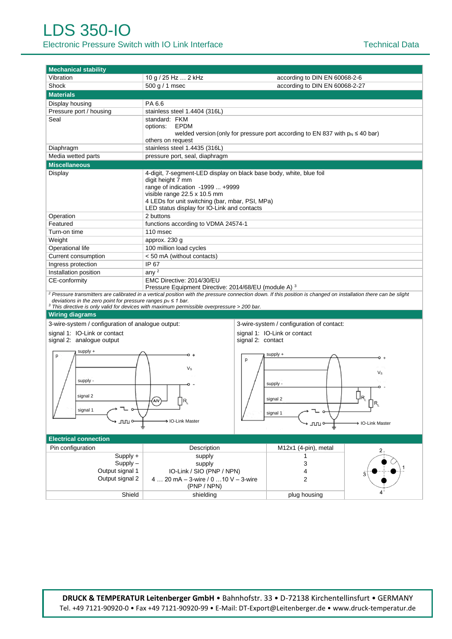| <b>Mechanical stability</b>                                                                         |                                                                                                                                                                                                                                                                              |                                                                                                          |    |  |  |  |  |  |  |  |  |  |
|-----------------------------------------------------------------------------------------------------|------------------------------------------------------------------------------------------------------------------------------------------------------------------------------------------------------------------------------------------------------------------------------|----------------------------------------------------------------------------------------------------------|----|--|--|--|--|--|--|--|--|--|
| Vibration                                                                                           | 10 g / 25 Hz  2 kHz                                                                                                                                                                                                                                                          | according to DIN EN 60068-2-6                                                                            |    |  |  |  |  |  |  |  |  |  |
| Shock                                                                                               | 500 g / 1 msec                                                                                                                                                                                                                                                               | according to DIN EN 60068-2-27                                                                           |    |  |  |  |  |  |  |  |  |  |
| <b>Materials</b>                                                                                    |                                                                                                                                                                                                                                                                              |                                                                                                          |    |  |  |  |  |  |  |  |  |  |
| Display housing                                                                                     | PA 6.6                                                                                                                                                                                                                                                                       |                                                                                                          |    |  |  |  |  |  |  |  |  |  |
| Pressure port / housing                                                                             | stainless steel 1.4404 (316L)                                                                                                                                                                                                                                                |                                                                                                          |    |  |  |  |  |  |  |  |  |  |
| Seal                                                                                                | standard: FKM<br>options:<br><b>EPDM</b><br>welded version (only for pressure port according to EN 837 with $p_N \le 40$ bar)<br>others on request                                                                                                                           |                                                                                                          |    |  |  |  |  |  |  |  |  |  |
| Diaphragm                                                                                           | stainless steel 1.4435 (316L)                                                                                                                                                                                                                                                |                                                                                                          |    |  |  |  |  |  |  |  |  |  |
| Media wetted parts                                                                                  | pressure port, seal, diaphragm                                                                                                                                                                                                                                               |                                                                                                          |    |  |  |  |  |  |  |  |  |  |
| <b>Miscellaneous</b>                                                                                |                                                                                                                                                                                                                                                                              |                                                                                                          |    |  |  |  |  |  |  |  |  |  |
| Display                                                                                             | 4-digit, 7-segment-LED display on black base body, white, blue foil<br>digit height 7 mm<br>range of indication -1999  +9999<br>visible range 22.5 x 10.5 mm<br>4 LEDs for unit switching (bar, mbar, PSI, MPa)<br>LED status display for IO-Link and contacts               |                                                                                                          |    |  |  |  |  |  |  |  |  |  |
| Operation                                                                                           | 2 buttons                                                                                                                                                                                                                                                                    |                                                                                                          |    |  |  |  |  |  |  |  |  |  |
| Featured                                                                                            | functions according to VDMA 24574-1                                                                                                                                                                                                                                          |                                                                                                          |    |  |  |  |  |  |  |  |  |  |
| Turn-on time                                                                                        | 110 msec                                                                                                                                                                                                                                                                     |                                                                                                          |    |  |  |  |  |  |  |  |  |  |
| Weight                                                                                              | approx. 230 g                                                                                                                                                                                                                                                                |                                                                                                          |    |  |  |  |  |  |  |  |  |  |
| Operational life                                                                                    | 100 million load cycles                                                                                                                                                                                                                                                      |                                                                                                          |    |  |  |  |  |  |  |  |  |  |
| Current consumption                                                                                 | < 50 mA (without contacts)                                                                                                                                                                                                                                                   |                                                                                                          |    |  |  |  |  |  |  |  |  |  |
| Ingress protection                                                                                  | IP 67                                                                                                                                                                                                                                                                        |                                                                                                          |    |  |  |  |  |  |  |  |  |  |
| Installation position                                                                               | any $2$                                                                                                                                                                                                                                                                      |                                                                                                          |    |  |  |  |  |  |  |  |  |  |
| CE-conformity<br>EMC Directive: 2014/30/EU<br>Pressure Equipment Directive: 2014/68/EU (module A) 3 |                                                                                                                                                                                                                                                                              |                                                                                                          |    |  |  |  |  |  |  |  |  |  |
| deviations in the zero point for pressure ranges $p_N \leq 1$ bar.<br><b>Wiring diagrams</b>        | <sup>2</sup> Pressure transmitters are calibrated in a vertical position with the pressure connection down. If this position is changed on installation there can be slight<br>$3$ This directive is only valid for devices with maximum permissible overpressure > 200 bar. |                                                                                                          |    |  |  |  |  |  |  |  |  |  |
| 3-wire-system / configuration of analogue output:                                                   |                                                                                                                                                                                                                                                                              | 3-wire-system / configuration of contact:                                                                |    |  |  |  |  |  |  |  |  |  |
| signal 1: IO-Link or contact<br>signal 2: analogue output                                           |                                                                                                                                                                                                                                                                              | signal 1: IO-Link or contact<br>signal 2: contact                                                        |    |  |  |  |  |  |  |  |  |  |
| supply +<br>p<br>supply -<br>signal 2<br>signal 1<br>ллл с                                          | р<br>Vs<br>A/V<br>> IO-Link Master                                                                                                                                                                                                                                           | supply +<br>ہ ہ<br>$V_{\rm S}$<br>supply -<br>∐R<br>signal 2<br>signal 1<br><b>IO-Link Master</b><br>ллı |    |  |  |  |  |  |  |  |  |  |
| <b>Electrical connection</b>                                                                        |                                                                                                                                                                                                                                                                              |                                                                                                          |    |  |  |  |  |  |  |  |  |  |
| Pin configuration<br>$Supply +$<br>$Supply -$<br>Output signal 1<br>Output signal 2                 | Description<br>supply<br>supply<br>IO-Link / SIO (PNP / NPN)<br>4  20 mA $-$ 3-wire / 0  10 V $-$ 3-wire<br>(PNP / NPN)                                                                                                                                                      | M12x1 (4-pin), metal<br>3<br>4<br>2                                                                      | 2, |  |  |  |  |  |  |  |  |  |
| Shield                                                                                              | shielding                                                                                                                                                                                                                                                                    | plug housing                                                                                             |    |  |  |  |  |  |  |  |  |  |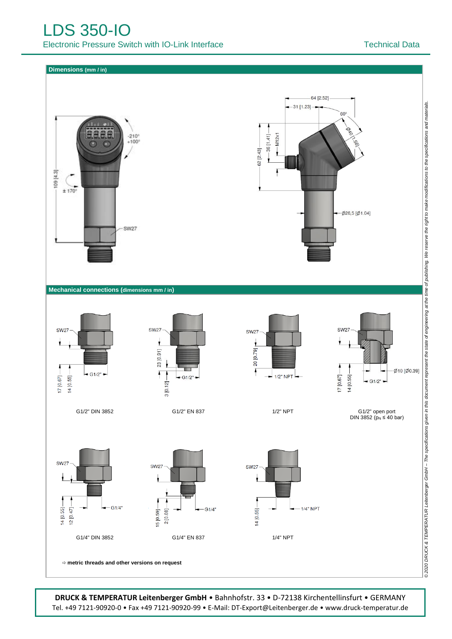**Dimensions (mm / in)**